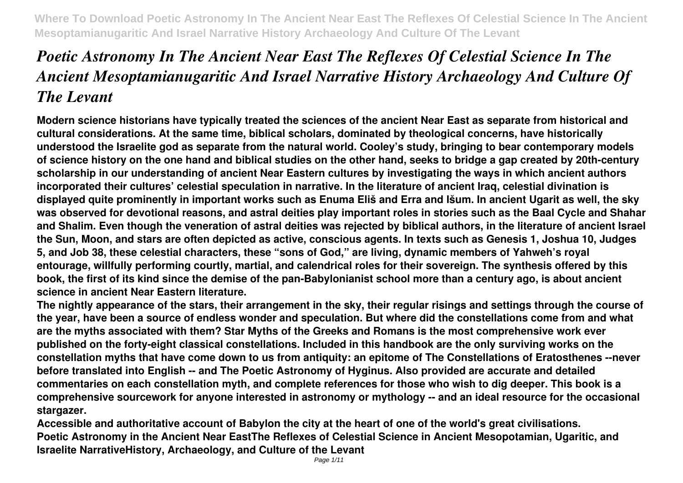# *Poetic Astronomy In The Ancient Near East The Reflexes Of Celestial Science In The Ancient Mesoptamianugaritic And Israel Narrative History Archaeology And Culture Of The Levant*

**Modern science historians have typically treated the sciences of the ancient Near East as separate from historical and cultural considerations. At the same time, biblical scholars, dominated by theological concerns, have historically understood the Israelite god as separate from the natural world. Cooley's study, bringing to bear contemporary models of science history on the one hand and biblical studies on the other hand, seeks to bridge a gap created by 20th-century scholarship in our understanding of ancient Near Eastern cultures by investigating the ways in which ancient authors incorporated their cultures' celestial speculation in narrative. In the literature of ancient Iraq, celestial divination is displayed quite prominently in important works such as Enuma Eliš and Erra and Išum. In ancient Ugarit as well, the sky was observed for devotional reasons, and astral deities play important roles in stories such as the Baal Cycle and Shahar and Shalim. Even though the veneration of astral deities was rejected by biblical authors, in the literature of ancient Israel the Sun, Moon, and stars are often depicted as active, conscious agents. In texts such as Genesis 1, Joshua 10, Judges 5, and Job 38, these celestial characters, these "sons of God," are living, dynamic members of Yahweh's royal entourage, willfully performing courtly, martial, and calendrical roles for their sovereign. The synthesis offered by this book, the first of its kind since the demise of the pan-Babylonianist school more than a century ago, is about ancient science in ancient Near Eastern literature.**

**The nightly appearance of the stars, their arrangement in the sky, their regular risings and settings through the course of the year, have been a source of endless wonder and speculation. But where did the constellations come from and what are the myths associated with them? Star Myths of the Greeks and Romans is the most comprehensive work ever published on the forty-eight classical constellations. Included in this handbook are the only surviving works on the constellation myths that have come down to us from antiquity: an epitome of The Constellations of Eratosthenes --never before translated into English -- and The Poetic Astronomy of Hyginus. Also provided are accurate and detailed commentaries on each constellation myth, and complete references for those who wish to dig deeper. This book is a comprehensive sourcework for anyone interested in astronomy or mythology -- and an ideal resource for the occasional stargazer.**

**Accessible and authoritative account of Babylon the city at the heart of one of the world's great civilisations. Poetic Astronomy in the Ancient Near EastThe Reflexes of Celestial Science in Ancient Mesopotamian, Ugaritic, and Israelite NarrativeHistory, Archaeology, and Culture of the Levant**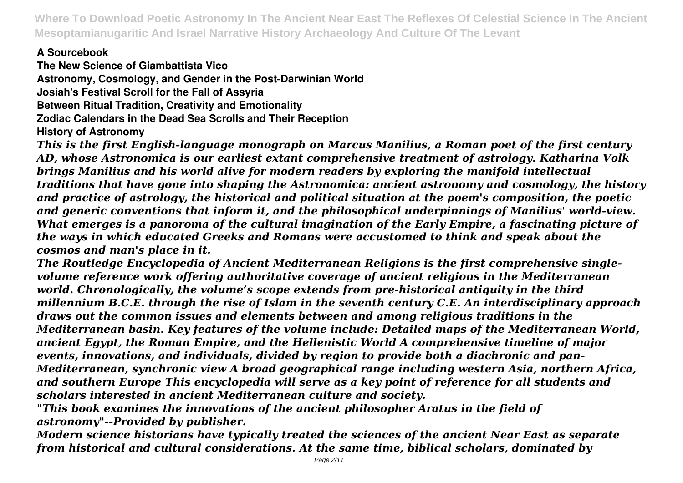# **A Sourcebook**

**The New Science of Giambattista Vico Astronomy, Cosmology, and Gender in the Post-Darwinian World Josiah's Festival Scroll for the Fall of Assyria Between Ritual Tradition, Creativity and Emotionality Zodiac Calendars in the Dead Sea Scrolls and Their Reception History of Astronomy**

*This is the first English-language monograph on Marcus Manilius, a Roman poet of the first century AD, whose Astronomica is our earliest extant comprehensive treatment of astrology. Katharina Volk brings Manilius and his world alive for modern readers by exploring the manifold intellectual traditions that have gone into shaping the Astronomica: ancient astronomy and cosmology, the history and practice of astrology, the historical and political situation at the poem's composition, the poetic and generic conventions that inform it, and the philosophical underpinnings of Manilius' world-view. What emerges is a panoroma of the cultural imagination of the Early Empire, a fascinating picture of the ways in which educated Greeks and Romans were accustomed to think and speak about the cosmos and man's place in it.*

*The Routledge Encyclopedia of Ancient Mediterranean Religions is the first comprehensive singlevolume reference work offering authoritative coverage of ancient religions in the Mediterranean world. Chronologically, the volume's scope extends from pre-historical antiquity in the third millennium B.C.E. through the rise of Islam in the seventh century C.E. An interdisciplinary approach draws out the common issues and elements between and among religious traditions in the Mediterranean basin. Key features of the volume include: Detailed maps of the Mediterranean World, ancient Egypt, the Roman Empire, and the Hellenistic World A comprehensive timeline of major events, innovations, and individuals, divided by region to provide both a diachronic and pan-Mediterranean, synchronic view A broad geographical range including western Asia, northern Africa, and southern Europe This encyclopedia will serve as a key point of reference for all students and scholars interested in ancient Mediterranean culture and society.*

*"This book examines the innovations of the ancient philosopher Aratus in the field of astronomy"--Provided by publisher.*

*Modern science historians have typically treated the sciences of the ancient Near East as separate from historical and cultural considerations. At the same time, biblical scholars, dominated by*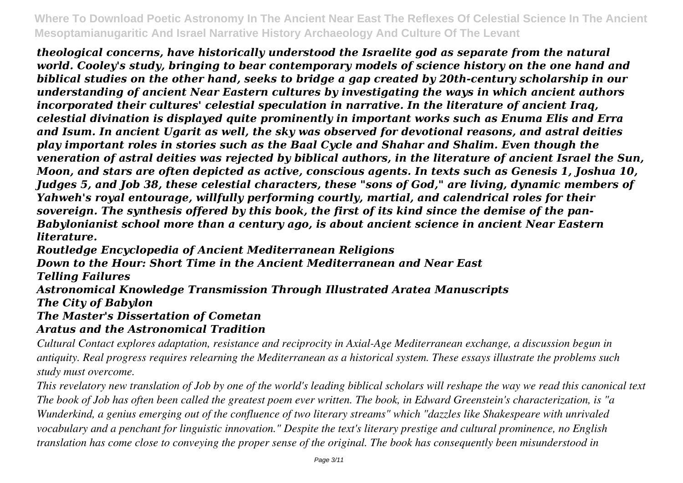*theological concerns, have historically understood the Israelite god as separate from the natural world. Cooley's study, bringing to bear contemporary models of science history on the one hand and biblical studies on the other hand, seeks to bridge a gap created by 20th-century scholarship in our understanding of ancient Near Eastern cultures by investigating the ways in which ancient authors incorporated their cultures' celestial speculation in narrative. In the literature of ancient Iraq, celestial divination is displayed quite prominently in important works such as Enuma Elis and Erra and Isum. In ancient Ugarit as well, the sky was observed for devotional reasons, and astral deities play important roles in stories such as the Baal Cycle and Shahar and Shalim. Even though the veneration of astral deities was rejected by biblical authors, in the literature of ancient Israel the Sun, Moon, and stars are often depicted as active, conscious agents. In texts such as Genesis 1, Joshua 10, Judges 5, and Job 38, these celestial characters, these "sons of God," are living, dynamic members of Yahweh's royal entourage, willfully performing courtly, martial, and calendrical roles for their sovereign. The synthesis offered by this book, the first of its kind since the demise of the pan-Babylonianist school more than a century ago, is about ancient science in ancient Near Eastern literature.*

*Routledge Encyclopedia of Ancient Mediterranean Religions*

*Down to the Hour: Short Time in the Ancient Mediterranean and Near East*

*Telling Failures*

*Astronomical Knowledge Transmission Through Illustrated Aratea Manuscripts The City of Babylon*

*The Master's Dissertation of Cometan*

# *Aratus and the Astronomical Tradition*

*Cultural Contact explores adaptation, resistance and reciprocity in Axial-Age Mediterranean exchange, a discussion begun in antiquity. Real progress requires relearning the Mediterranean as a historical system. These essays illustrate the problems such study must overcome.*

*This revelatory new translation of Job by one of the world's leading biblical scholars will reshape the way we read this canonical text The book of Job has often been called the greatest poem ever written. The book, in Edward Greenstein's characterization, is "a Wunderkind, a genius emerging out of the confluence of two literary streams" which "dazzles like Shakespeare with unrivaled vocabulary and a penchant for linguistic innovation." Despite the text's literary prestige and cultural prominence, no English translation has come close to conveying the proper sense of the original. The book has consequently been misunderstood in*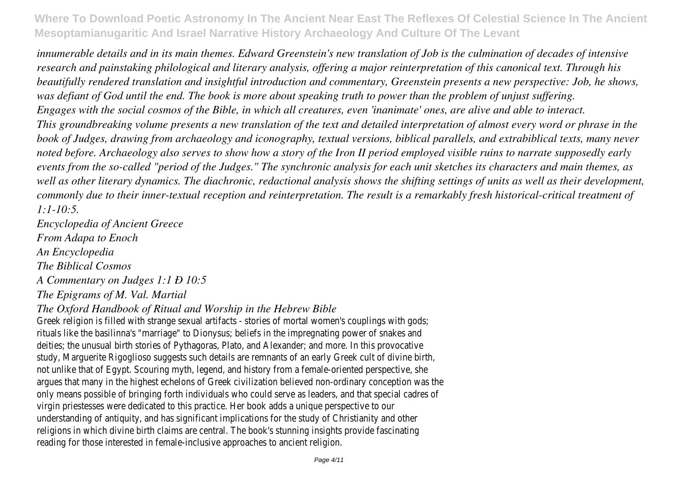*innumerable details and in its main themes. Edward Greenstein's new translation of Job is the culmination of decades of intensive research and painstaking philological and literary analysis, offering a major reinterpretation of this canonical text. Through his beautifully rendered translation and insightful introduction and commentary, Greenstein presents a new perspective: Job, he shows, was defiant of God until the end. The book is more about speaking truth to power than the problem of unjust suffering. Engages with the social cosmos of the Bible, in which all creatures, even 'inanimate' ones, are alive and able to interact. This groundbreaking volume presents a new translation of the text and detailed interpretation of almost every word or phrase in the book of Judges, drawing from archaeology and iconography, textual versions, biblical parallels, and extrabiblical texts, many never noted before. Archaeology also serves to show how a story of the Iron II period employed visible ruins to narrate supposedly early events from the so-called "period of the Judges." The synchronic analysis for each unit sketches its characters and main themes, as well as other literary dynamics. The diachronic, redactional analysis shows the shifting settings of units as well as their development, commonly due to their inner-textual reception and reinterpretation. The result is a remarkably fresh historical-critical treatment of 1:1-10:5.*

*Encyclopedia of Ancient Greece From Adapa to Enoch An Encyclopedia The Biblical Cosmos A Commentary on Judges 1:1 Ð 10:5 The Epigrams of M. Val. Martial*

#### *The Oxford Handbook of Ritual and Worship in the Hebrew Bible*

Greek religion is filled with strange sexual artifacts - stories of mortal women's couplings with gods; rituals like the basilinna's "marriage" to Dionysus; beliefs in the impregnating power of snakes and deities; the unusual birth stories of Pythagoras, Plato, and Alexander; and more. In this provocative study, Marguerite Rigoglioso suggests such details are remnants of an early Greek cult of divine birth, not unlike that of Egypt. Scouring myth, legend, and history from a female-oriented perspective, she argues that many in the highest echelons of Greek civilization believed non-ordinary conception was the only means possible of bringing forth individuals who could serve as leaders, and that special cadres of virgin priestesses were dedicated to this practice. Her book adds a unique perspective to our understanding of antiquity, and has significant implications for the study of Christianity and other religions in which divine birth claims are central. The book's stunning insights provide fascinating reading for those interested in female-inclusive approaches to ancient religion.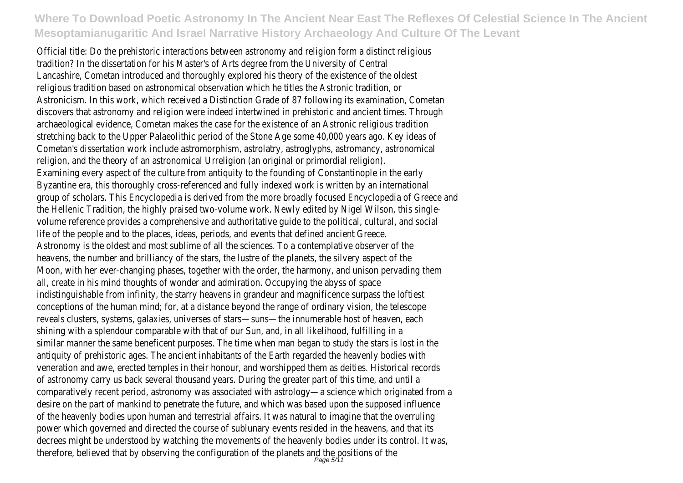Official title: Do the prehistoric interactions between astronomy and religion form a distinct religious tradition? In the dissertation for his Master's of Arts degree from the University of Central Lancashire, Cometan introduced and thoroughly explored his theory of the existence of the oldest religious tradition based on astronomical observation which he titles the Astronic tradition, or Astronicism. In this work, which received a Distinction Grade of 87 following its examination, Cometan discovers that astronomy and religion were indeed intertwined in prehistoric and ancient times. Through archaeological evidence, Cometan makes the case for the existence of an Astronic religious tradition stretching back to the Upper Palaeolithic period of the Stone Age some 40,000 years ago. Key ideas of Cometan's dissertation work include astromorphism, astrolatry, astroglyphs, astromancy, astronomical religion, and the theory of an astronomical Urreligion (an original or primordial religion). Examining every aspect of the culture from antiquity to the founding of Constantinople in the early Byzantine era, this thoroughly cross-referenced and fully indexed work is written by an international group of scholars. This Encyclopedia is derived from the more broadly focused Encyclopedia of Greece and the Hellenic Tradition, the highly praised two-volume work. Newly edited by Nigel Wilson, this singlevolume reference provides a comprehensive and authoritative guide to the political, cultural, and social life of the people and to the places, ideas, periods, and events that defined ancient Greece. Astronomy is the oldest and most sublime of all the sciences. To a contemplative observer of the heavens, the number and brilliancy of the stars, the lustre of the planets, the silvery aspect of the Moon, with her ever-changing phases, together with the order, the harmony, and unison pervading them all, create in his mind thoughts of wonder and admiration. Occupying the abyss of space indistinguishable from infinity, the starry heavens in grandeur and magnificence surpass the loftiest conceptions of the human mind; for, at a distance beyond the range of ordinary vision, the telescope reveals clusters, systems, galaxies, universes of stars—suns—the innumerable host of heaven, each shining with a splendour comparable with that of our Sun, and, in all likelihood, fulfilling in a similar manner the same beneficent purposes. The time when man began to study the stars is lost in the antiquity of prehistoric ages. The ancient inhabitants of the Earth regarded the heavenly bodies with veneration and awe, erected temples in their honour, and worshipped them as deities. Historical records of astronomy carry us back several thousand years. During the greater part of this time, and until a comparatively recent period, astronomy was associated with astrology—a science which originated from a desire on the part of mankind to penetrate the future, and which was based upon the supposed influence of the heavenly bodies upon human and terrestrial affairs. It was natural to imagine that the overruling power which governed and directed the course of sublunary events resided in the heavens, and that its decrees might be understood by watching the movements of the heavenly bodies under its control. It was, therefore, believed that by observing the configuration of the planets and the positions of the the page  $5/11$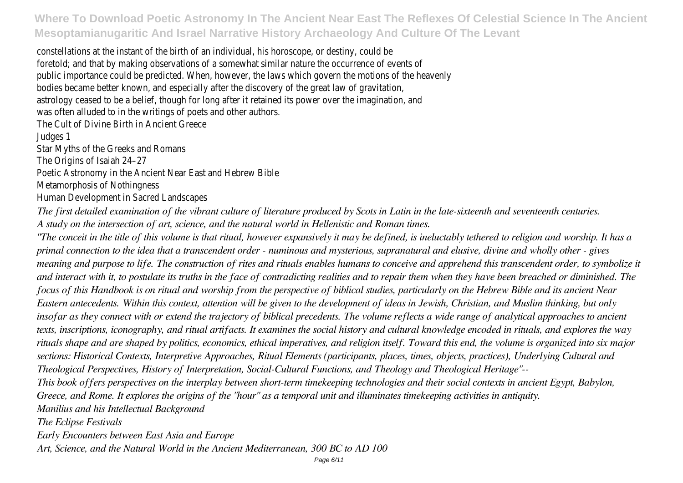constellations at the instant of the birth of an individual, his horoscope, or destiny, could be foretold; and that by making observations of a somewhat similar nature the occurrence of events of public importance could be predicted. When, however, the laws which govern the motions of the heavenly bodies became better known, and especially after the discovery of the great law of gravitation, astrology ceased to be a belief, though for long after it retained its power over the imagination, and was often alluded to in the writings of poets and other authors. The Cult of Divine Birth in Ancient Greece Judges 1 Star Myths of the Greeks and Romans The Origins of Isaiah 24–27 Poetic Astronomy in the Ancient Near East and Hebrew Bible Metamorphosis of Nothingness Human Development in Sacred Landscapes

*The first detailed examination of the vibrant culture of literature produced by Scots in Latin in the late-sixteenth and seventeenth centuries. A study on the intersection of art, science, and the natural world in Hellenistic and Roman times.*

*"The conceit in the title of this volume is that ritual, however expansively it may be defined, is ineluctably tethered to religion and worship. It has a primal connection to the idea that a transcendent order - numinous and mysterious, supranatural and elusive, divine and wholly other - gives meaning and purpose to life. The construction of rites and rituals enables humans to conceive and apprehend this transcendent order, to symbolize it and interact with it, to postulate its truths in the face of contradicting realities and to repair them when they have been breached or diminished. The focus of this Handbook is on ritual and worship from the perspective of biblical studies, particularly on the Hebrew Bible and its ancient Near Eastern antecedents. Within this context, attention will be given to the development of ideas in Jewish, Christian, and Muslim thinking, but only insofar as they connect with or extend the trajectory of biblical precedents. The volume reflects a wide range of analytical approaches to ancient texts, inscriptions, iconography, and ritual artifacts. It examines the social history and cultural knowledge encoded in rituals, and explores the way rituals shape and are shaped by politics, economics, ethical imperatives, and religion itself. Toward this end, the volume is organized into six major sections: Historical Contexts, Interpretive Approaches, Ritual Elements (participants, places, times, objects, practices), Underlying Cultural and Theological Perspectives, History of Interpretation, Social-Cultural Functions, and Theology and Theological Heritage"-- This book offers perspectives on the interplay between short-term timekeeping technologies and their social contexts in ancient Egypt, Babylon, Greece, and Rome. It explores the origins of the "hour" as a temporal unit and illuminates timekeeping activities in antiquity. Manilius and his Intellectual Background The Eclipse Festivals*

*Early Encounters between East Asia and Europe*

*Art, Science, and the Natural World in the Ancient Mediterranean, 300 BC to AD 100*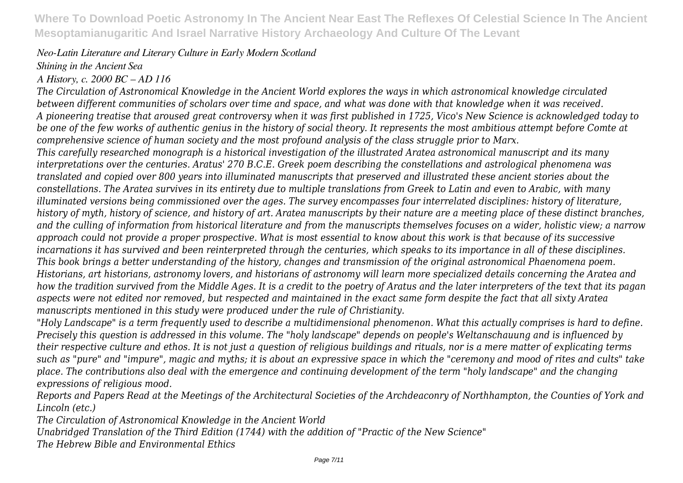#### *Neo-Latin Literature and Literary Culture in Early Modern Scotland*

### *Shining in the Ancient Sea*

### *A History, c. 2000 BC – AD 116*

*The Circulation of Astronomical Knowledge in the Ancient World explores the ways in which astronomical knowledge circulated between different communities of scholars over time and space, and what was done with that knowledge when it was received. A pioneering treatise that aroused great controversy when it was first published in 1725, Vico's New Science is acknowledged today to be one of the few works of authentic genius in the history of social theory. It represents the most ambitious attempt before Comte at comprehensive science of human society and the most profound analysis of the class struggle prior to Marx.*

*This carefully researched monograph is a historical investigation of the illustrated Aratea astronomical manuscript and its many interpretations over the centuries. Aratus' 270 B.C.E. Greek poem describing the constellations and astrological phenomena was translated and copied over 800 years into illuminated manuscripts that preserved and illustrated these ancient stories about the constellations. The Aratea survives in its entirety due to multiple translations from Greek to Latin and even to Arabic, with many illuminated versions being commissioned over the ages. The survey encompasses four interrelated disciplines: history of literature, history of myth, history of science, and history of art. Aratea manuscripts by their nature are a meeting place of these distinct branches, and the culling of information from historical literature and from the manuscripts themselves focuses on a wider, holistic view; a narrow approach could not provide a proper prospective. What is most essential to know about this work is that because of its successive incarnations it has survived and been reinterpreted through the centuries, which speaks to its importance in all of these disciplines. This book brings a better understanding of the history, changes and transmission of the original astronomical Phaenomena poem. Historians, art historians, astronomy lovers, and historians of astronomy will learn more specialized details concerning the Aratea and how the tradition survived from the Middle Ages. It is a credit to the poetry of Aratus and the later interpreters of the text that its pagan aspects were not edited nor removed, but respected and maintained in the exact same form despite the fact that all sixty Aratea manuscripts mentioned in this study were produced under the rule of Christianity.*

*"Holy Landscape" is a term frequently used to describe a multidimensional phenomenon. What this actually comprises is hard to define. Precisely this question is addressed in this volume. The "holy landscape" depends on people's Weltanschauung and is influenced by their respective culture and ethos. It is not just a question of religious buildings and rituals, nor is a mere matter of explicating terms such as "pure" and "impure", magic and myths; it is about an expressive space in which the "ceremony and mood of rites and cults" take place. The contributions also deal with the emergence and continuing development of the term "holy landscape" and the changing expressions of religious mood.*

*Reports and Papers Read at the Meetings of the Architectural Societies of the Archdeaconry of Northhampton, the Counties of York and Lincoln (etc.)*

*The Circulation of Astronomical Knowledge in the Ancient World*

*Unabridged Translation of the Third Edition (1744) with the addition of "Practic of the New Science"*

*The Hebrew Bible and Environmental Ethics*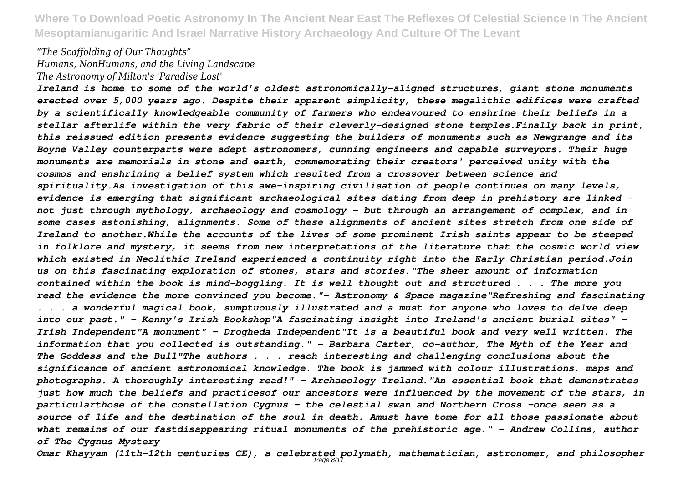#### *"The Scaffolding of Our Thoughts" Humans, NonHumans, and the Living Landscape The Astronomy of Milton's 'Paradise Lost'*

*Ireland is home to some of the world's oldest astronomically-aligned structures, giant stone monuments erected over 5,000 years ago. Despite their apparent simplicity, these megalithic edifices were crafted by a scientifically knowledgeable community of farmers who endeavoured to enshrine their beliefs in a stellar afterlife within the very fabric of their cleverly-designed stone temples.Finally back in print, this reissued edition presents evidence suggesting the builders of monuments such as Newgrange and its Boyne Valley counterparts were adept astronomers, cunning engineers and capable surveyors. Their huge monuments are memorials in stone and earth, commemorating their creators' perceived unity with the cosmos and enshrining a belief system which resulted from a crossover between science and spirituality.As investigation of this awe-inspiring civilisation of people continues on many levels, evidence is emerging that significant archaeological sites dating from deep in prehistory are linked not just through mythology, archaeology and cosmology - but through an arrangement of complex, and in some cases astonishing, alignments. Some of these alignments of ancient sites stretch from one side of Ireland to another.While the accounts of the lives of some prominent Irish saints appear to be steeped in folklore and mystery, it seems from new interpretations of the literature that the cosmic world view which existed in Neolithic Ireland experienced a continuity right into the Early Christian period.Join us on this fascinating exploration of stones, stars and stories."The sheer amount of information contained within the book is mind-boggling. It is well thought out and structured . . . The more you read the evidence the more convinced you become."- Astronomy & Space magazine"Refreshing and fascinating . . . a wonderful magical book, sumptuously illustrated and a must for anyone who loves to delve deep into our past." - Kenny's Irish Bookshop"A fascinating insight into Ireland's ancient burial sites" - Irish Independent"A monument" - Drogheda Independent"It is a beautiful book and very well written. The information that you collected is outstanding." - Barbara Carter, co-author, The Myth of the Year and The Goddess and the Bull"The authors . . . reach interesting and challenging conclusions about the significance of ancient astronomical knowledge. The book is jammed with colour illustrations, maps and photographs. A thoroughly interesting read!" - Archaeology Ireland."An essential book that demonstrates just how much the beliefs and practicesof our ancestors were influenced by the movement of the stars, in particularthose of the constellation Cygnus - the celestial swan and Northern Cross -once seen as a source of life and the destination of the soul in death. Amust have tome for all those passionate about what remains of our fastdisappearing ritual monuments of the prehistoric age." - Andrew Collins, author of The Cygnus Mystery*

*Omar Khayyam (11th-12th centuries CE), a celebrated polymath, mathematician, astronomer, and philosopher* Page 8/11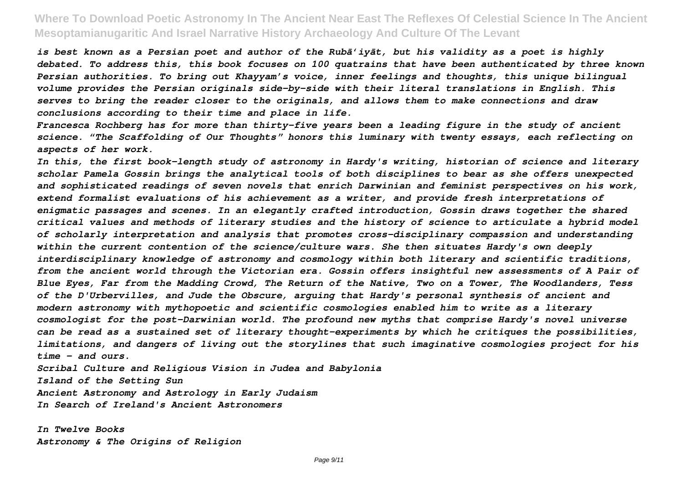*is best known as a Persian poet and author of the Rubā'iyāt, but his validity as a poet is highly debated. To address this, this book focuses on 100 quatrains that have been authenticated by three known Persian authorities. To bring out Khayyam's voice, inner feelings and thoughts, this unique bilingual volume provides the Persian originals side-by-side with their literal translations in English. This serves to bring the reader closer to the originals, and allows them to make connections and draw conclusions according to their time and place in life.*

*Francesca Rochberg has for more than thirty-five years been a leading figure in the study of ancient science. "The Scaffolding of Our Thoughts" honors this luminary with twenty essays, each reflecting on aspects of her work.*

*In this, the first book-length study of astronomy in Hardy's writing, historian of science and literary scholar Pamela Gossin brings the analytical tools of both disciplines to bear as she offers unexpected and sophisticated readings of seven novels that enrich Darwinian and feminist perspectives on his work, extend formalist evaluations of his achievement as a writer, and provide fresh interpretations of enigmatic passages and scenes. In an elegantly crafted introduction, Gossin draws together the shared critical values and methods of literary studies and the history of science to articulate a hybrid model of scholarly interpretation and analysis that promotes cross-disciplinary compassion and understanding within the current contention of the science/culture wars. She then situates Hardy's own deeply interdisciplinary knowledge of astronomy and cosmology within both literary and scientific traditions, from the ancient world through the Victorian era. Gossin offers insightful new assessments of A Pair of Blue Eyes, Far from the Madding Crowd, The Return of the Native, Two on a Tower, The Woodlanders, Tess of the D'Urbervilles, and Jude the Obscure, arguing that Hardy's personal synthesis of ancient and modern astronomy with mythopoetic and scientific cosmologies enabled him to write as a literary cosmologist for the post-Darwinian world. The profound new myths that comprise Hardy's novel universe can be read as a sustained set of literary thought-experiments by which he critiques the possibilities, limitations, and dangers of living out the storylines that such imaginative cosmologies project for his time - and ours.*

*Scribal Culture and Religious Vision in Judea and Babylonia Island of the Setting Sun Ancient Astronomy and Astrology in Early Judaism In Search of Ireland's Ancient Astronomers*

*In Twelve Books Astronomy & The Origins of Religion*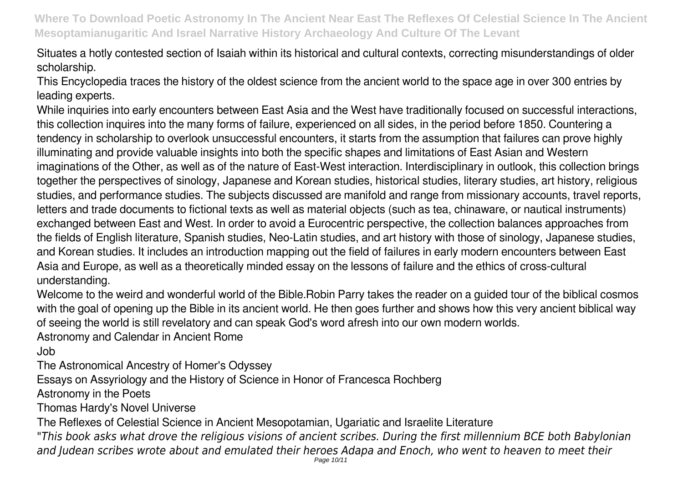Situates a hotly contested section of Isaiah within its historical and cultural contexts, correcting misunderstandings of older scholarship.

This Encyclopedia traces the history of the oldest science from the ancient world to the space age in over 300 entries by leading experts.

While inquiries into early encounters between East Asia and the West have traditionally focused on successful interactions, this collection inquires into the many forms of failure, experienced on all sides, in the period before 1850. Countering a tendency in scholarship to overlook unsuccessful encounters, it starts from the assumption that failures can prove highly illuminating and provide valuable insights into both the specific shapes and limitations of East Asian and Western imaginations of the Other, as well as of the nature of East-West interaction. Interdisciplinary in outlook, this collection brings together the perspectives of sinology, Japanese and Korean studies, historical studies, literary studies, art history, religious studies, and performance studies. The subjects discussed are manifold and range from missionary accounts, travel reports, letters and trade documents to fictional texts as well as material objects (such as tea, chinaware, or nautical instruments) exchanged between East and West. In order to avoid a Eurocentric perspective, the collection balances approaches from the fields of English literature, Spanish studies, Neo-Latin studies, and art history with those of sinology, Japanese studies, and Korean studies. It includes an introduction mapping out the field of failures in early modern encounters between East Asia and Europe, as well as a theoretically minded essay on the lessons of failure and the ethics of cross-cultural understanding.

Welcome to the weird and wonderful world of the Bible.Robin Parry takes the reader on a guided tour of the biblical cosmos with the goal of opening up the Bible in its ancient world. He then goes further and shows how this very ancient biblical way of seeing the world is still revelatory and can speak God's word afresh into our own modern worlds.

Astronomy and Calendar in Ancient Rome

Job

The Astronomical Ancestry of Homer's Odyssey

Essays on Assyriology and the History of Science in Honor of Francesca Rochberg

Astronomy in the Poets

Thomas Hardy's Novel Universe

The Reflexes of Celestial Science in Ancient Mesopotamian, Ugariatic and Israelite Literature

*"This book asks what drove the religious visions of ancient scribes. During the first millennium BCE both Babylonian and Judean scribes wrote about and emulated their heroes Adapa and Enoch, who went to heaven to meet their*